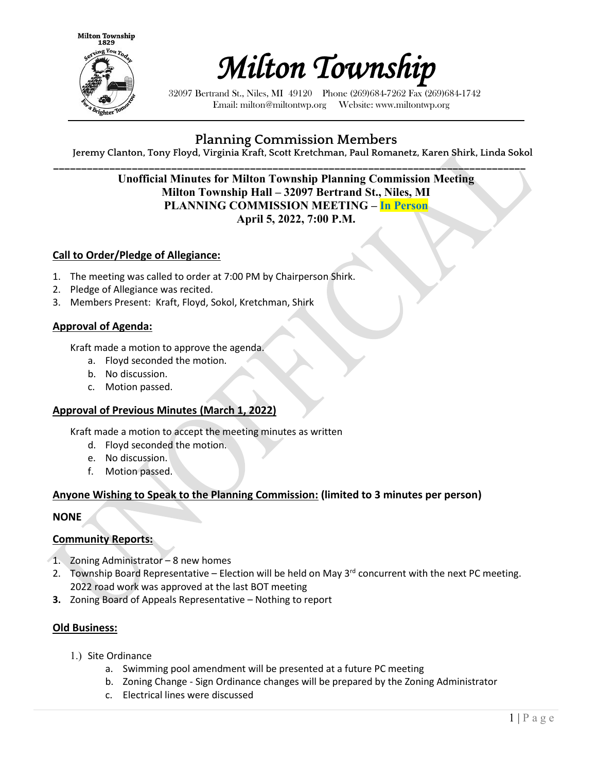



32097 Bertrand St., Niles, MI 49120 Phone (269)684-7262 Fax (269)684-1742 Email: milton@miltontwp.org Website: www.miltontwp.org

# **Planning Commission Members**

**Jeremy Clanton, Tony Floyd, Virginia Kraft, Scott Kretchman, Paul Romanetz, Karen Shirk, Linda Sokol**

### **\_\_\_\_\_\_\_\_\_\_\_\_\_\_\_\_\_\_\_\_\_\_\_\_\_\_\_\_\_\_\_\_\_\_\_\_\_\_\_\_\_\_\_\_\_\_\_\_\_\_\_\_\_\_\_\_\_\_\_\_\_\_\_\_\_\_\_\_\_\_\_\_\_\_\_\_\_\_\_\_\_\_\_\_ Unofficial Minutes for Milton Township Planning Commission Meeting Milton Township Hall – 32097 Bertrand St., Niles, MI PLANNING COMMISSION MEETING – In Person April 5, 2022, 7:00 P.M.**

### **Call to Order/Pledge of Allegiance:**

- 1. The meeting was called to order at 7:00 PM by Chairperson Shirk.
- 2. Pledge of Allegiance was recited.
- 3. Members Present: Kraft, Floyd, Sokol, Kretchman, Shirk

#### **Approval of Agenda:**

Kraft made a motion to approve the agenda.

- a. Floyd seconded the motion.
- b. No discussion.
- c. Motion passed.

#### **Approval of Previous Minutes (March 1, 2022)**

Kraft made a motion to accept the meeting minutes as written

- d. Floyd seconded the motion.
- e. No discussion.
- f. Motion passed.

#### **Anyone Wishing to Speak to the Planning Commission: (limited to 3 minutes per person)**

#### **NONE**

#### **Community Reports:**

- 1. Zoning Administrator 8 new homes
- 2. Township Board Representative Election will be held on May  $3<sup>rd</sup>$  concurrent with the next PC meeting. 2022 road work was approved at the last BOT meeting
- **3.** Zoning Board of Appeals Representative Nothing to report

#### **Old Business:**

- 1.) Site Ordinance
	- a. Swimming pool amendment will be presented at a future PC meeting
	- b. Zoning Change Sign Ordinance changes will be prepared by the Zoning Administrator
	- c. Electrical lines were discussed